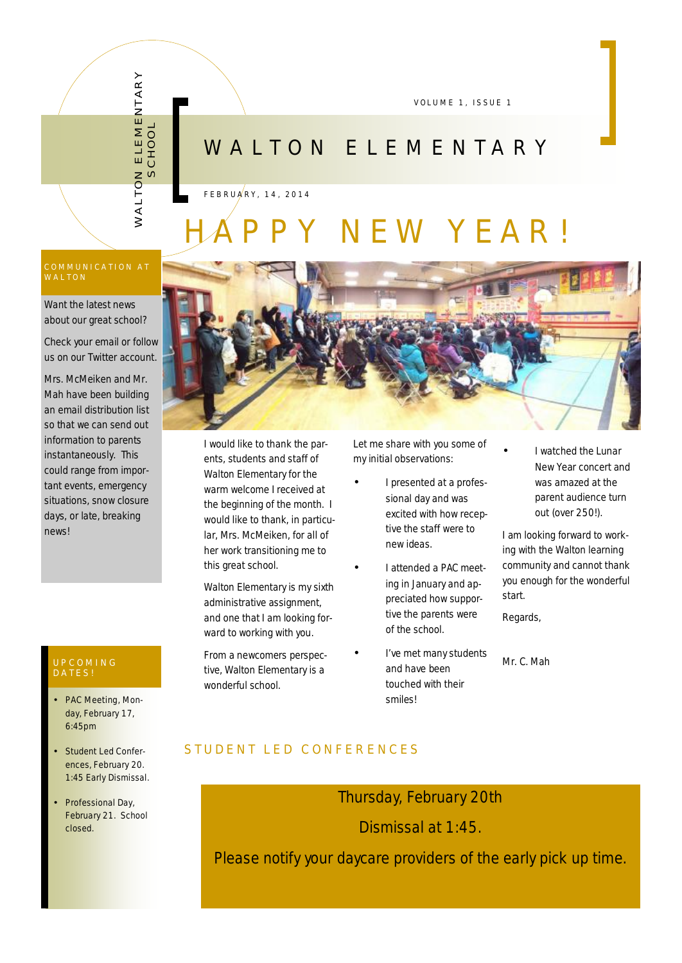VOLUME 1, ISSUE 1

# W A L T O N E L E M E N T A R Y

F E B R U A R Y , 1 4 , 2 0 1 4

# N E W Y E A R !

 $\geq$ 

A L T O

 $\frac{-\circ}{\circ}$ 

HO $\overline{\mathsf{C}}$ 

N ELEMENTA<br><

œ  $\succ$ 

Want the latest news about our great school?

Check your email or follow us on our Twitter account.

Mrs. McMeiken and Mr. Mah have been building an email distribution list so that we can send out information to parents instantaneously. This could range from important events, emergency situations, snow closure days, or late, breaking news!

#### U P COM ING D A T E S !

- PAC Meeting, Monday, February 17, 6:45pm
- Student Led Conferences, February 20. 1:45 Early Dismissal.
- Professional Day, February 21. School closed.



I would like to thank the parents, students and staff of Walton Elementary for the warm welcome I received at the beginning of the month. I would like to thank, in particular, Mrs. McMeiken, for all of her work transitioning me to this great school.

Walton Elementary is my sixth administrative assignment, and one that I am looking forward to working with you.

From a newcomers perspective, Walton Elementary is a wonderful school.

Let me share with you some of my initial observations:

- I presented at a professional day and was excited with how receptive the staff were to new ideas.
- I attended a PAC meeting in January and appreciated how supportive the parents were of the school.
- I've met many students and have been touched with their smiles!

• I watched the Lunar New Year concert and was amazed at the parent audience turn out (over 250!).

I am looking forward to working with the Walton learning community and cannot thank you enough for the wonderful start.

Regards,

Mr. C. Mah

### S TUDENT LED CONFERENCES

Thursday, February 20th

Dismissal at 1:45.

Please notify your daycare providers of the early pick up time.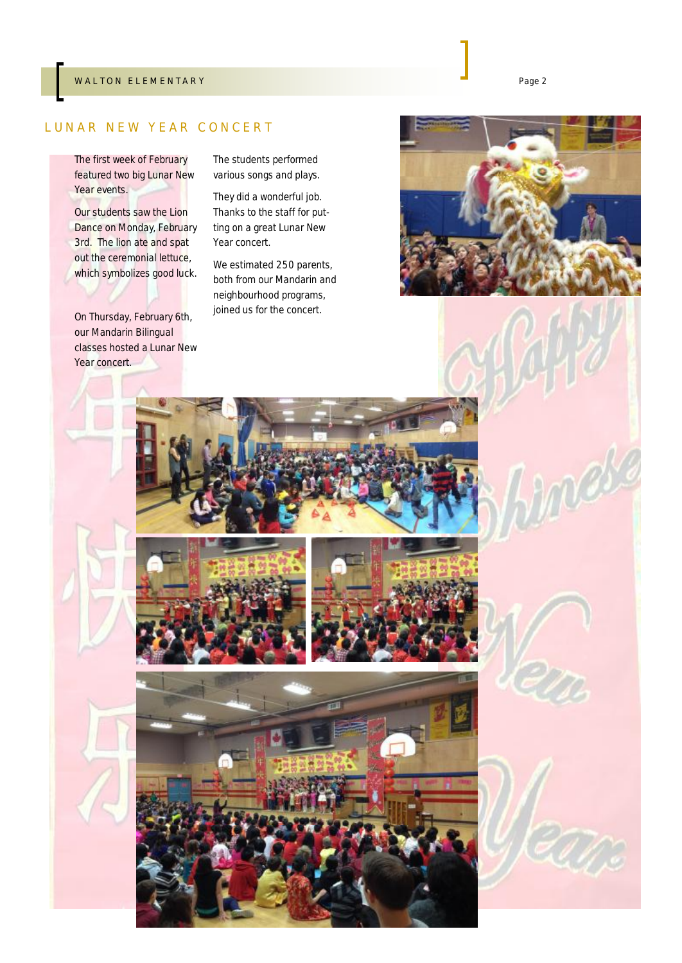#### W A L T ON ELEMENTARY Page 2

#### LUNAR NEW YEAR CONCERT

The first week of February featured two big Lunar New Year events.

Our students saw the Lion Dance on Monday, February 3rd. The lion ate and spat out the ceremonial lettuce, which symbolizes good luck.

On Thursday, February 6th, our Mandarin Bilingual classes hosted a Lunar New Year concert.

The students performed various songs and plays.

They did a wonderful job. Thanks to the staff for putting on a great Lunar New Year concert.

We estimated 250 parents, both from our Mandarin and neighbourhood programs, joined us for the concert.

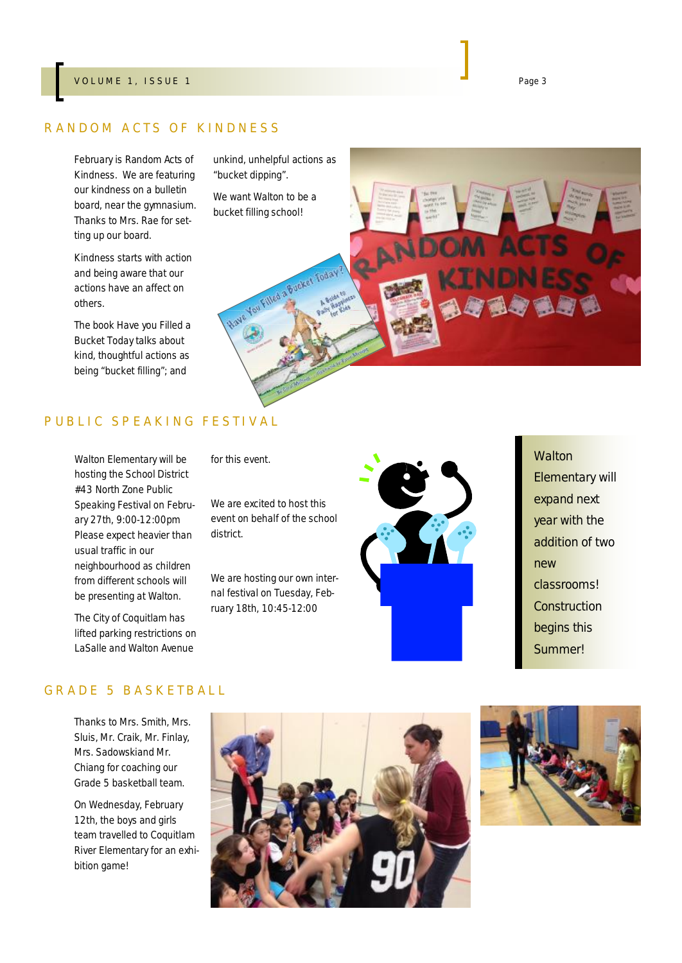#### V OLUME 1, ISSUE 1 Page 3

#### RANDOM ACTS OF KINDNESS

February is Random Acts of Kindness. We are featuring our kindness on a bulletin board, near the gymnasium. Thanks to Mrs. Rae for setting up our board.

Kindness starts with action and being aware that our actions have an affect on others.

The book *Have you Filled a Bucket Today* talks about kind, thoughtful actions as being "bucket filling"; and

unkind, unhelpful actions as "bucket dipping".

bucket filling school!



#### PUBLIC SPEAKING FESTIVAL

Walton Elementary will be hosting the School District #43 North Zone Public Speaking Festival on February 27th, 9:00-12:00pm Please expect heavier than usual traffic in our neighbourhood as children from different schools will be presenting at Walton.

The City of Coquitlam has lifted parking restrictions on LaSalle and Walton Avenue

for this event.

We are excited to host this event on behalf of the school district.

We are hosting our own internal festival on Tuesday, February 18th, 10:45-12:00



**Walton** Elementary will expand next year with the addition of two new classrooms! **Construction** begins this Summer!

#### GRADE 5 BASKETBALL

Thanks to Mrs. Smith, Mrs. Sluis, Mr. Craik, Mr. Finlay, Mrs. Sadowskiand Mr. Chiang for coaching our Grade 5 basketball team.

On Wednesday, February 12th, the boys and girls team travelled to Coquitlam River Elementary for an exhibition game!